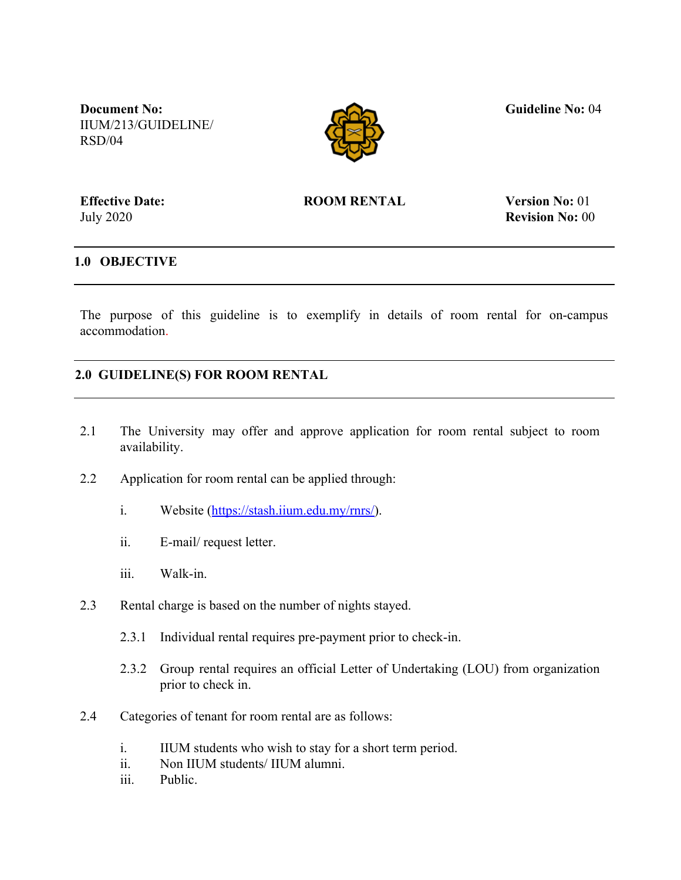**Document No:** IIUM/213/GUIDELINE/ RSD/04



 **Guideline No:** 04

**Effective Date:** July 2020

**ROOM RENTAL Version No:** 01

**Revision No:** 00

## **1.0 OBJECTIVE**

The purpose of this guideline is to exemplify in details of room rental for on-campus accommodation.

## **2.0 GUIDELINE(S) FOR ROOM RENTAL**

- 2.1 The University may offer and approve application for room rental subject to room availability.
- 2.2 Application for room rental can be applied through:
	- i. Website [\(https://stash.iium.edu.my/rnrs/\)](https://stash.iium.edu.my/rnrs/).
	- ii. E-mail/ request letter.
	- iii. Walk-in.
- 2.3 Rental charge is based on the number of nights stayed.
	- 2.3.1 Individual rental requires pre-payment prior to check-in.
	- 2.3.2 Group rental requires an official Letter of Undertaking (LOU) from organization prior to check in.
- 2.4 Categories of tenant for room rental are as follows:
	- i. IIUM students who wish to stay for a short term period.
	- ii. Non IIUM students/ IIUM alumni.
	- iii. Public.